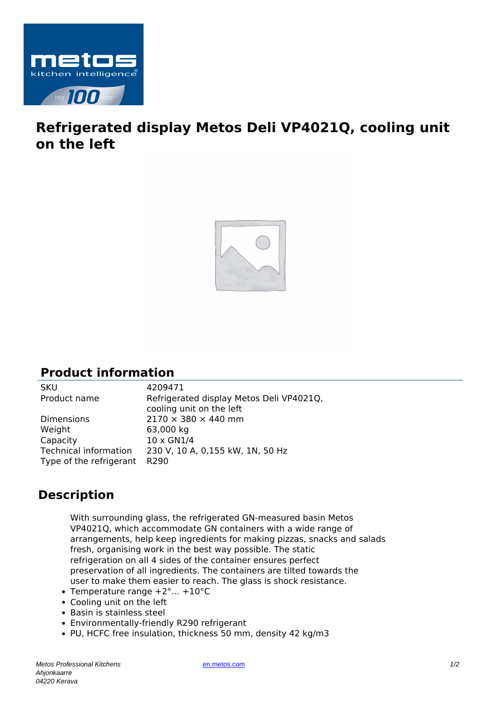

## **Refrigerated display Metos Deli VP4021Q, cooling unit on the left**



## **Product information**

| <b>SKU</b>                   | 4209471                                  |
|------------------------------|------------------------------------------|
| Product name                 | Refrigerated display Metos Deli VP4021Q, |
|                              | cooling unit on the left                 |
| <b>Dimensions</b>            | $2170 \times 380 \times 440$ mm          |
| Weight                       | 63,000 kg                                |
| Capacity                     | 10 x GN1/4                               |
| <b>Technical information</b> | 230 V, 10 A, 0,155 kW, 1N, 50 Hz         |
| Type of the refrigerant      | R <sub>290</sub>                         |
|                              |                                          |

## **Description**

With surrounding glass, the refrigerated GN-measured basin Metos VP4021Q, which accommodate GN containers with a wide range of arrangements, help keep ingredients for making pizzas, snacks and salads fresh, organising work in the best way possible. The static refrigeration on all 4 sides of the container ensures perfect preservation of all ingredients. The containers are tilted towards the user to make them easier to reach. The glass is shock resistance.

- Temperature range  $+2^{\circ}$ ...  $+10^{\circ}$ C
- Cooling unit on the left
- Basin is stainless steel
- Environmentally-friendly R290 refrigerant
- PU, HCFC free insulation, thickness 50 mm, density 42 kg/m3